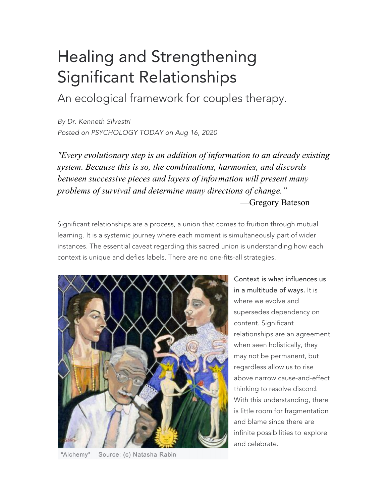## Healing and Strengthening Significant Relationships

An ecological framework for couples therapy.

*By Dr. Kenneth Silvestri Posted on PSYCHOLOGY TODAY on Aug 16, 2020*

*"Every evolutionary step is an addition of information to an already existing system. Because this is so, the combinations, harmonies, and discords between successive pieces and layers of information will present many problems of survival and determine many directions of change."* —Gregory Bateson

Significant relationships are a process, a union that comes to fruition through mutual learning. It is a systemic journey where each moment is simultaneously part of wider instances. The essential caveat regarding this sacred union is understanding how each context is unique and defies labels. There are no one-fits-all strategies.



"Alchemy" Source: (c) Natasha Rabin

Context is what influences us in a multitude of ways. It is where we evolve and supersedes dependency on content. Significant relationships are an agreement when seen holistically, they may not be permanent, but regardless allow us to rise above narrow cause-and-effect thinking to resolve discord. With this understanding, there is little room for fragmentation and blame since there are infinite possibilities to explore and celebrate.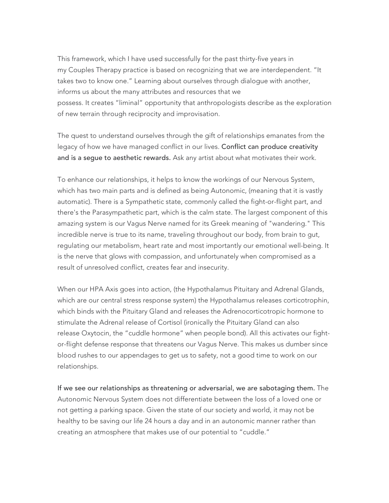This framework, which I have used successfully for the past thirty-five years in my Couples Therapy practice is based on recognizing that we are interdependent. "It takes two to know one." Learning about ourselves through dialogue with another, informs us about the many attributes and resources that we possess. It creates "liminal" opportunity that anthropologists describe as the exploration of new terrain through reciprocity and improvisation.

The quest to understand ourselves through the gift of relationships emanates from the legacy of how we have managed conflict in our lives. Conflict can produce creativity and is a segue to aesthetic rewards. Ask any artist about what motivates their work.

To enhance our relationships, it helps to know the workings of our Nervous System, which has two main parts and is defined as being Autonomic, (meaning that it is vastly automatic). There is a Sympathetic state, commonly called the fight-or-flight part, and there's the Parasympathetic part, which is the calm state. The largest component of this amazing system is our Vagus Nerve named for its Greek meaning of "wandering." This incredible nerve is true to its name, traveling throughout our body, from brain to gut, regulating our metabolism, heart rate and most importantly our emotional well-being. It is the nerve that glows with compassion, and unfortunately when compromised as a result of unresolved conflict, creates fear and insecurity.

When our HPA Axis goes into action, (the Hypothalamus Pituitary and Adrenal Glands, which are our central stress response system) the Hypothalamus releases corticotrophin, which binds with the Pituitary Gland and releases the Adrenocorticotropic hormone to stimulate the Adrenal release of Cortisol (ironically the Pituitary Gland can also release Oxytocin, the "cuddle hormone" when people bond). All this activates our fightor-flight defense response that threatens our Vagus Nerve. This makes us dumber since blood rushes to our appendages to get us to safety, not a good time to work on our relationships.

If we see our relationships as threatening or adversarial, we are sabotaging them. The Autonomic Nervous System does not differentiate between the loss of a loved one or not getting a parking space. Given the state of our society and world, it may not be healthy to be saving our life 24 hours a day and in an autonomic manner rather than creating an atmosphere that makes use of our potential to "cuddle."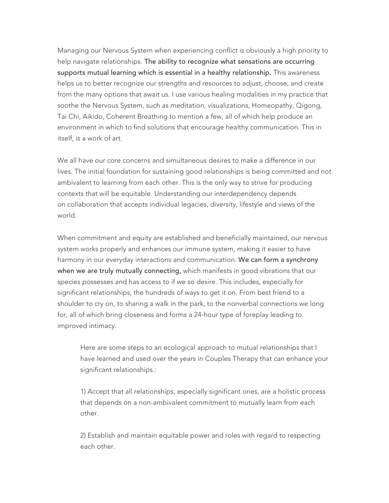Managing our Nervous System when experiencing conflict is obviously a high priority to help navigate relationships. The ability to recognize what sensations are occurring supports mutual learning which is essential in a healthy relationship. This awareness helps us to better recognize our strengths and resources to adjust, choose, and create from the many options that await us. I use various healing modalities in my practice that soothe the Nervous System, such as meditation, visualizations, Homeopathy, Qigong, Tai Chi, Aikido, Coherent Breathing to mention a few, all of which help produce an environment in which to find solutions that encourage healthy communication. This in itself, is a work of art.

We all have our core concerns and simultaneous desires to make a difference in our lives. The initial foundation for sustaining good relationships is being committed and not ambivalent to learning from each other. This is the only way to strive for producing contexts that will be equitable. Understanding our interdependency depends on collaboration that accepts individual legacies, diversity, lifestyle and views of the world.

When commitment and equity are established and beneficially maintained, our nervous system works properly and enhances our immune system, making it easier to have harmony in our everyday interactions and communication. We can form a synchrony when we are truly mutually connecting, which manifests in good vibrations that our species possesses and has access to if we so desire. This includes, especially for significant relationships, the hundreds of ways to get it on. From best friend to a shoulder to cry on, to sharing a walk in the park, to the nonverbal connections we long for, all of which bring closeness and forms a 24-hour type of foreplay leading to improved intimacy.

Here are some steps to an ecological approach to mutual relationships that I have learned and used over the years in Couples Therapy that can enhance your significant relationships.:

1) Accept that all relationships, especially significant ones, are a holistic process that depends on a non-ambivalent commitment to mutually learn from each other.

2) Establish and maintain equitable power and roles with regard to respecting each other.